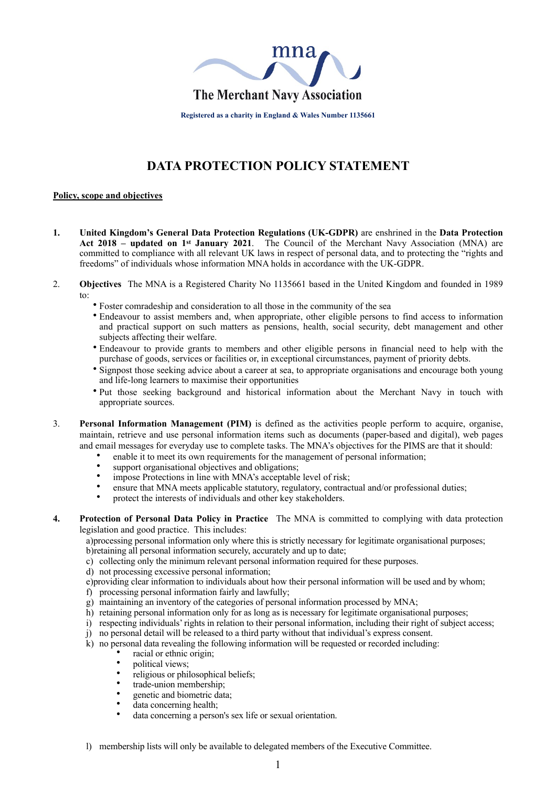

**Registered as a charity in England & Wales Number 1135661**

# **DATA PROTECTION POLICY STATEMENT**

# **Policy, scope and objectives**

- **1. United Kingdom's General Data Protection Regulations (UK-GDPR)** are enshrined in the **Data Protection Act 2018 – updated on 1st January 2021**. The Council of the Merchant Navy Association (MNA) are committed to compliance with all relevant UK laws in respect of personal data, and to protecting the "rights and freedoms" of individuals whose information MNA holds in accordance with the UK-GDPR.
- 2. **Objectives** The MNA is a Registered Charity No 1135661 based in the United Kingdom and founded in 1989 to:
	- Foster comradeship and consideration to all those in the community of the sea
	- Endeavour to assist members and, when appropriate, other eligible persons to find access to information and practical support on such matters as pensions, health, social security, debt management and other subjects affecting their welfare.
	- Endeavour to provide grants to members and other eligible persons in financial need to help with the purchase of goods, services or facilities or, in exceptional circumstances, payment of priority debts.
	- Signpost those seeking advice about a career at sea, to appropriate organisations and encourage both young and life-long learners to maximise their opportunities
	- Put those seeking background and historical information about the Merchant Navy in touch with appropriate sources.
- 3. **Personal Information Management (PIM)** is defined as the activities people perform to acquire, organise, maintain, retrieve and use personal information items such as documents (paper-based and digital), web pages and email messages for everyday use to complete tasks. The MNA's objectives for the PIMS are that it should:
	- enable it to meet its own requirements for the management of personal information;
		- support organisational objectives and obligations:
	- impose Protections in line with MNA's acceptable level of risk;
	- ensure that MNA meets applicable statutory, regulatory, contractual and/or professional duties;
	- protect the interests of individuals and other key stakeholders.
- **4. Protection of Personal Data Policy in Practice** The MNA is committed to complying with data protection legislation and good practice. This includes:

a)processing personal information only where this is strictly necessary for legitimate organisational purposes; b)retaining all personal information securely, accurately and up to date;

- c) collecting only the minimum relevant personal information required for these purposes.
- d) not processing excessive personal information;
- e)providing clear information to individuals about how their personal information will be used and by whom;
- f) processing personal information fairly and lawfully;
- g) maintaining an inventory of the categories of personal information processed by MNA;
- h) retaining personal information only for as long as is necessary for legitimate organisational purposes;
- i) respecting individuals' rights in relation to their personal information, including their right of subject access;
- j) no personal detail will be released to a third party without that individual's express consent.
- k) no personal data revealing the following information will be requested or recorded including:
	- racial or ethnic origin:
	- political views;
	- religious or philosophical beliefs;
	- trade-union membership;
	- genetic and biometric data;
	- data concerning health;
	- data concerning a person's sex life or sexual orientation.
- l) membership lists will only be available to delegated members of the Executive Committee.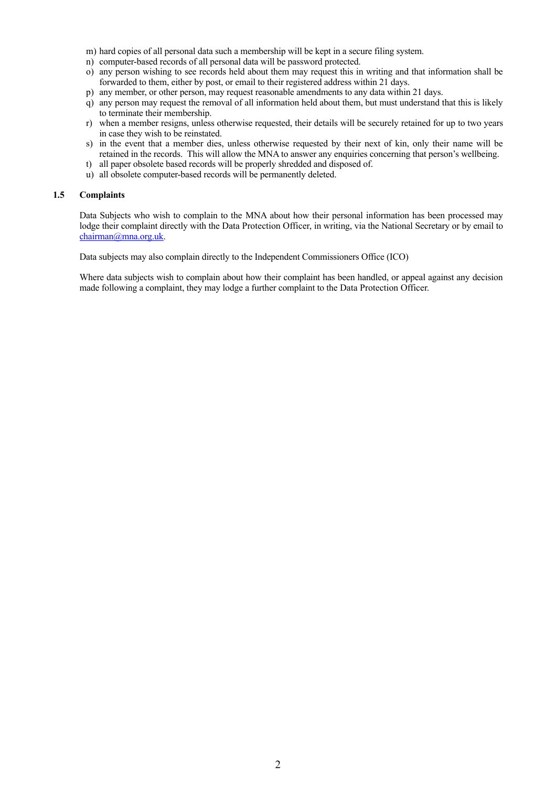- m) hard copies of all personal data such a membership will be kept in a secure filing system.
- n) computer-based records of all personal data will be password protected.
- o) any person wishing to see records held about them may request this in writing and that information shall be forwarded to them, either by post, or email to their registered address within 21 days.
- p) any member, or other person, may request reasonable amendments to any data within 21 days.
- q) any person may request the removal of all information held about them, but must understand that this is likely to terminate their membership.
- r) when a member resigns, unless otherwise requested, their details will be securely retained for up to two years in case they wish to be reinstated.
- s) in the event that a member dies, unless otherwise requested by their next of kin, only their name will be retained in the records. This will allow the MNA to answer any enquiries concerning that person's wellbeing.
- t) all paper obsolete based records will be properly shredded and disposed of.
- u) all obsolete computer-based records will be permanently deleted.

# **1.5 Complaints**

Data Subjects who wish to complain to the MNA about how their personal information has been processed may lodge their complaint directly with the Data Protection Officer, in writing, via the National Secretary or by email to [chairman@mna.org.uk.](mailto:chairman@mna.org.uk)

Data subjects may also complain directly to the Independent Commissioners Office (ICO)

Where data subjects wish to complain about how their complaint has been handled, or appeal against any decision made following a complaint, they may lodge a further complaint to the Data Protection Officer.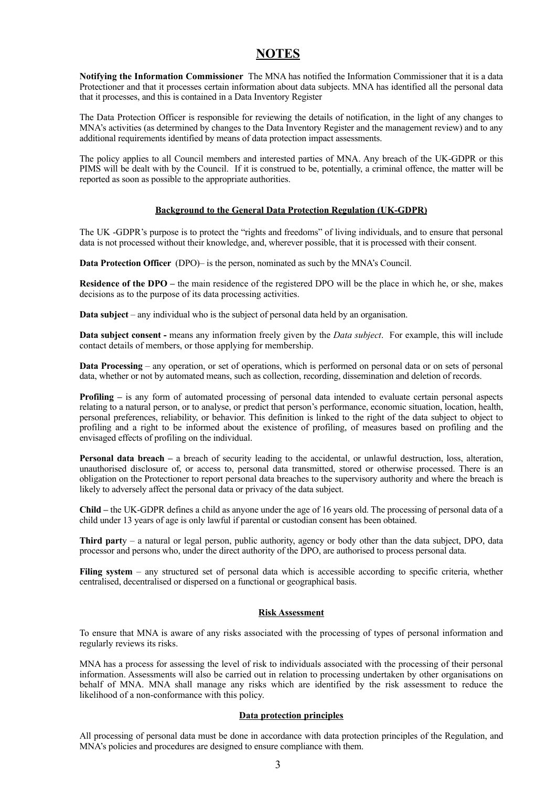# **NOTES**

**Notifying the Information Commissioner** The MNA has notified the Information Commissioner that it is a data Protectioner and that it processes certain information about data subjects. MNA has identified all the personal data that it processes, and this is contained in a Data Inventory Register

The Data Protection Officer is responsible for reviewing the details of notification, in the light of any changes to MNA's activities (as determined by changes to the Data Inventory Register and the management review) and to any additional requirements identified by means of data protection impact assessments.

The policy applies to all Council members and interested parties of MNA. Any breach of the UK-GDPR or this PIMS will be dealt with by the Council. If it is construed to be, potentially, a criminal offence, the matter will be reported as soon as possible to the appropriate authorities.

# **Background to the General Data Protection Regulation (UK-GDPR)**

The UK -GDPR's purpose is to protect the "rights and freedoms" of living individuals, and to ensure that personal data is not processed without their knowledge, and, wherever possible, that it is processed with their consent.

**Data Protection Officer** (DPO)– is the person, nominated as such by the MNA's Council.

**Residence of the DPO –** the main residence of the registered DPO will be the place in which he, or she, makes decisions as to the purpose of its data processing activities.

**Data subject** – any individual who is the subject of personal data held by an organisation.

**Data subject consent -** means any information freely given by the *Data subject*. For example, this will include contact details of members, or those applying for membership.

**Data Processing** – any operation, or set of operations, which is performed on personal data or on sets of personal data, whether or not by automated means, such as collection, recording, dissemination and deletion of records.

**Profiling** – is any form of automated processing of personal data intended to evaluate certain personal aspects relating to a natural person, or to analyse, or predict that person's performance, economic situation, location, health, personal preferences, reliability, or behavior. This definition is linked to the right of the data subject to object to profiling and a right to be informed about the existence of profiling, of measures based on profiling and the envisaged effects of profiling on the individual.

**Personal data breach –** a breach of security leading to the accidental, or unlawful destruction, loss, alteration, unauthorised disclosure of, or access to, personal data transmitted, stored or otherwise processed. There is an obligation on the Protectioner to report personal data breaches to the supervisory authority and where the breach is likely to adversely affect the personal data or privacy of the data subject.

**Child –** the UK-GDPR defines a child as anyone under the age of 16 years old. The processing of personal data of a child under 13 years of age is only lawful if parental or custodian consent has been obtained.

**Third part**y – a natural or legal person, public authority, agency or body other than the data subject, DPO, data processor and persons who, under the direct authority of the DPO, are authorised to process personal data.

**Filing system** – any structured set of personal data which is accessible according to specific criteria, whether centralised, decentralised or dispersed on a functional or geographical basis.

## **Risk Assessment**

To ensure that MNA is aware of any risks associated with the processing of types of personal information and regularly reviews its risks.

MNA has a process for assessing the level of risk to individuals associated with the processing of their personal information. Assessments will also be carried out in relation to processing undertaken by other organisations on behalf of MNA. MNA shall manage any risks which are identified by the risk assessment to reduce the likelihood of a non-conformance with this policy.

## **Data protection principles**

All processing of personal data must be done in accordance with data protection principles of the Regulation, and MNA's policies and procedures are designed to ensure compliance with them.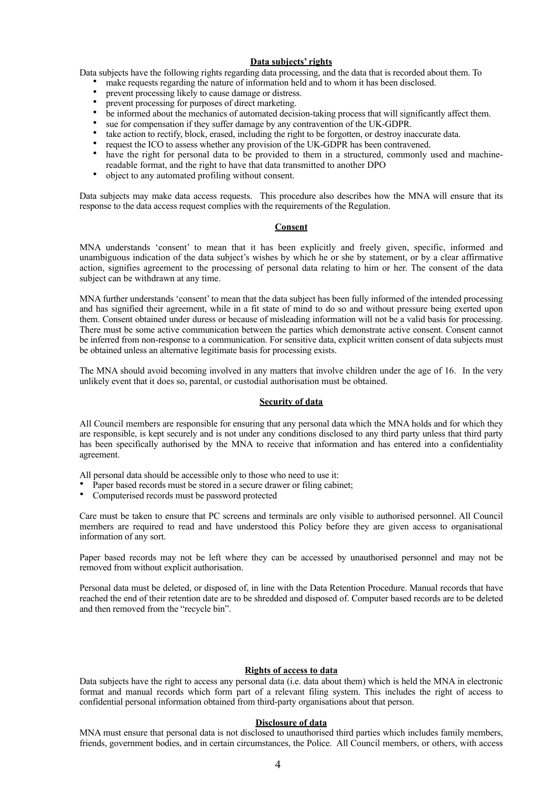# **Data subjects' rights**

Data subjects have the following rights regarding data processing, and the data that is recorded about them. To

- make requests regarding the nature of information held and to whom it has been disclosed.
	- prevent processing likely to cause damage or distress.
- prevent processing for purposes of direct marketing.
- be informed about the mechanics of automated decision-taking process that will significantly affect them.
- sue for compensation if they suffer damage by any contravention of the UK-GDPR.
- take action to rectify, block, erased, including the right to be forgotten, or destroy inaccurate data.
- request the ICO to assess whether any provision of the UK-GDPR has been contravened.
- have the right for personal data to be provided to them in a structured, commonly used and machinereadable format, and the right to have that data transmitted to another DPO
- object to any automated profiling without consent.

Data subjects may make data access requests. This procedure also describes how the MNA will ensure that its response to the data access request complies with the requirements of the Regulation.

# **Consent**

MNA understands 'consent' to mean that it has been explicitly and freely given, specific, informed and unambiguous indication of the data subject's wishes by which he or she by statement, or by a clear affirmative action, signifies agreement to the processing of personal data relating to him or her. The consent of the data subject can be withdrawn at any time.

MNA further understands 'consent' to mean that the data subject has been fully informed of the intended processing and has signified their agreement, while in a fit state of mind to do so and without pressure being exerted upon them. Consent obtained under duress or because of misleading information will not be a valid basis for processing. There must be some active communication between the parties which demonstrate active consent. Consent cannot be inferred from non-response to a communication. For sensitive data, explicit written consent of data subjects must be obtained unless an alternative legitimate basis for processing exists.

The MNA should avoid becoming involved in any matters that involve children under the age of 16. In the very unlikely event that it does so, parental, or custodial authorisation must be obtained.

## **Security of data**

All Council members are responsible for ensuring that any personal data which the MNA holds and for which they are responsible, is kept securely and is not under any conditions disclosed to any third party unless that third party has been specifically authorised by the MNA to receive that information and has entered into a confidentiality agreement.

All personal data should be accessible only to those who need to use it:

- Paper based records must be stored in a secure drawer or filing cabinet;
- Computerised records must be password protected

Care must be taken to ensure that PC screens and terminals are only visible to authorised personnel. All Council members are required to read and have understood this Policy before they are given access to organisational information of any sort.

Paper based records may not be left where they can be accessed by unauthorised personnel and may not be removed from without explicit authorisation.

Personal data must be deleted, or disposed of, in line with the Data Retention Procedure. Manual records that have reached the end of their retention date are to be shredded and disposed of. Computer based records are to be deleted and then removed from the "recycle bin".

## **Rights of access to data**

Data subjects have the right to access any personal data (i.e. data about them) which is held the MNA in electronic format and manual records which form part of a relevant filing system. This includes the right of access to confidential personal information obtained from third-party organisations about that person.

## **Disclosure of data**

MNA must ensure that personal data is not disclosed to unauthorised third parties which includes family members, friends, government bodies, and in certain circumstances, the Police. All Council members, or others, with access